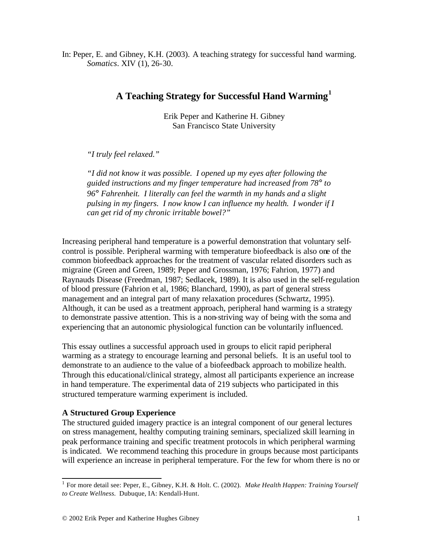In: Peper, E. and Gibney, K.H. (2003). A teaching strategy for successful hand warming. *Somatics*. XIV (1), 26-30.

# **A Teaching Strategy for Successful Hand Warming<sup>1</sup>**

Erik Peper and Katherine H. Gibney San Francisco State University

## *"I truly feel relaxed."*

*"I did not know it was possible. I opened up my eyes after following the guided instructions and my finger temperature had increased from 78° to 96° Fahrenheit. I literally can feel the warmth in my hands and a slight pulsing in my fingers. I now know I can influence my health. I wonder if I can get rid of my chronic irritable bowel?"*

Increasing peripheral hand temperature is a powerful demonstration that voluntary selfcontrol is possible. Peripheral warming with temperature biofeedback is also one of the common biofeedback approaches for the treatment of vascular related disorders such as migraine (Green and Green, 1989; Peper and Grossman, 1976; Fahrion, 1977) and Raynauds Disease (Freedman, 1987; Sedlacek, 1989). It is also used in the self-regulation of blood pressure (Fahrion et al, 1986; Blanchard, 1990), as part of general stress management and an integral part of many relaxation procedures (Schwartz, 1995). Although, it can be used as a treatment approach, peripheral hand warming is a strategy to demonstrate passive attention. This is a non-striving way of being with the soma and experiencing that an autonomic physiological function can be voluntarily influenced.

This essay outlines a successful approach used in groups to elicit rapid peripheral warming as a strategy to encourage learning and personal beliefs. It is an useful tool to demonstrate to an audience to the value of a biofeedback approach to mobilize health. Through this educational/clinical strategy, almost all participants experience an increase in hand temperature. The experimental data of 219 subjects who participated in this structured temperature warming experiment is included.

## **A Structured Group Experience**

The structured guided imagery practice is an integral component of our general lectures on stress management, healthy computing training seminars, specialized skill learning in peak performance training and specific treatment protocols in which peripheral warming is indicated. We recommend teaching this procedure in groups because most participants will experience an increase in peripheral temperature. For the few for whom there is no or

 1 For more detail see: Peper, E., Gibney, K.H. & Holt. C. (2002). *Make Health Happen: Training Yourself to Create Wellness.* Dubuque, IA: Kendall-Hunt.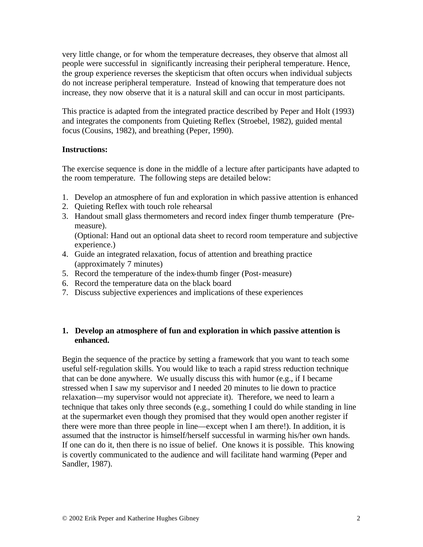very little change, or for whom the temperature decreases, they observe that almost all people were successful in significantly increasing their peripheral temperature. Hence, the group experience reverses the skepticism that often occurs when individual subjects do not increase peripheral temperature. Instead of knowing that temperature does not increase, they now observe that it is a natural skill and can occur in most participants.

This practice is adapted from the integrated practice described by Peper and Holt (1993) and integrates the components from Quieting Reflex (Stroebel, 1982), guided mental focus (Cousins, 1982), and breathing (Peper, 1990).

#### **Instructions:**

The exercise sequence is done in the middle of a lecture after participants have adapted to the room temperature. The following steps are detailed below:

- 1. Develop an atmosphere of fun and exploration in which passive attention is enhanced
- 2. Quieting Reflex with touch role rehearsal
- 3. Handout small glass thermometers and record index finger thumb temperature (Premeasure).

(Optional: Hand out an optional data sheet to record room temperature and subjective experience.)

- 4. Guide an integrated relaxation, focus of attention and breathing practice (approximately 7 minutes)
- 5. Record the temperature of the index-thumb finger (Post-measure)
- 6. Record the temperature data on the black board
- 7. Discuss subjective experiences and implications of these experiences

#### **1. Develop an atmosphere of fun and exploration in which passive attention is enhanced.**

Begin the sequence of the practice by setting a framework that you want to teach some useful self-regulation skills. You would like to teach a rapid stress reduction technique that can be done anywhere. We usually discuss this with humor (e.g., if I became stressed when I saw my supervisor and I needed 20 minutes to lie down to practice relaxation—my supervisor would not appreciate it). Therefore, we need to learn a technique that takes only three seconds (e.g., something I could do while standing in line at the supermarket even though they promised that they would open another register if there were more than three people in line—except when I am there!). In addition, it is assumed that the instructor is himself/herself successful in warming his/her own hands. If one can do it, then there is no issue of belief. One knows it is possible. This knowing is covertly communicated to the audience and will facilitate hand warming (Peper and Sandler, 1987).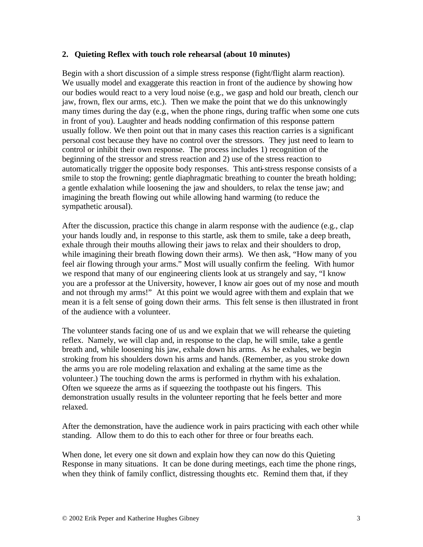#### **2. Quieting Reflex with touch role rehearsal (about 10 minutes)**

Begin with a short discussion of a simple stress response (fight/flight alarm reaction). We usually model and exaggerate this reaction in front of the audience by showing how our bodies would react to a very loud noise (e.g., we gasp and hold our breath, clench our jaw, frown, flex our arms, etc.). Then we make the point that we do this unknowingly many times during the day (e.g., when the phone rings, during traffic when some one cuts in front of you). Laughter and heads nodding confirmation of this response pattern usually follow. We then point out that in many cases this reaction carries is a significant personal cost because they have no control over the stressors. They just need to learn to control or inhibit their own response. The process includes 1) recognition of the beginning of the stressor and stress reaction and 2) use of the stress reaction to automatically trigger the opposite body responses. This anti-stress response consists of a smile to stop the frowning; gentle diaphragmatic breathing to counter the breath holding; a gentle exhalation while loosening the jaw and shoulders, to relax the tense jaw; and imagining the breath flowing out while allowing hand warming (to reduce the sympathetic arousal).

After the discussion, practice this change in alarm response with the audience (e.g., clap your hands loudly and, in response to this startle, ask them to smile, take a deep breath, exhale through their mouths allowing their jaws to relax and their shoulders to drop, while imagining their breath flowing down their arms). We then ask, "How many of you feel air flowing through your arms." Most will usually confirm the feeling. With humor we respond that many of our engineering clients look at us strangely and say, "I know you are a professor at the University, however, I know air goes out of my nose and mouth and not through my arms!" At this point we would agree with them and explain that we mean it is a felt sense of going down their arms. This felt sense is then illustrated in front of the audience with a volunteer.

The volunteer stands facing one of us and we explain that we will rehearse the quieting reflex. Namely, we will clap and, in response to the clap, he will smile, take a gentle breath and, while loosening his jaw, exhale down his arms. As he exhales, we begin stroking from his shoulders down his arms and hands. (Remember, as you stroke down the arms you are role modeling relaxation and exhaling at the same time as the volunteer.) The touching down the arms is performed in rhythm with his exhalation. Often we squeeze the arms as if squeezing the toothpaste out his fingers. This demonstration usually results in the volunteer reporting that he feels better and more relaxed.

After the demonstration, have the audience work in pairs practicing with each other while standing. Allow them to do this to each other for three or four breaths each.

When done, let every one sit down and explain how they can now do this Quieting Response in many situations. It can be done during meetings, each time the phone rings, when they think of family conflict, distressing thoughts etc. Remind them that, if they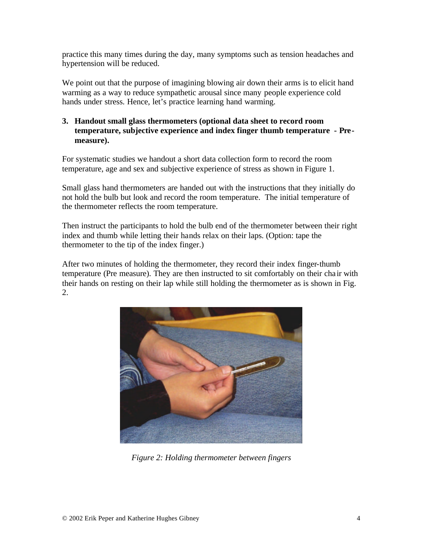practice this many times during the day, many symptoms such as tension headaches and hypertension will be reduced.

We point out that the purpose of imagining blowing air down their arms is to elicit hand warming as a way to reduce sympathetic arousal since many people experience cold hands under stress. Hence, let's practice learning hand warming.

#### **3. Handout small glass thermometers (optional data sheet to record room temperature, subjective experience and index finger thumb temperature - Premeasure).**

For systematic studies we handout a short data collection form to record the room temperature, age and sex and subjective experience of stress as shown in Figure 1.

Small glass hand thermometers are handed out with the instructions that they initially do not hold the bulb but look and record the room temperature. The initial temperature of the thermometer reflects the room temperature.

Then instruct the participants to hold the bulb end of the thermometer between their right index and thumb while letting their hands relax on their laps. (Option: tape the thermometer to the tip of the index finger.)

After two minutes of holding the thermometer, they record their index finger-thumb temperature (Pre measure). They are then instructed to sit comfortably on their cha ir with their hands on resting on their lap while still holding the thermometer as is shown in Fig. 2.



*Figure 2: Holding thermometer between fingers*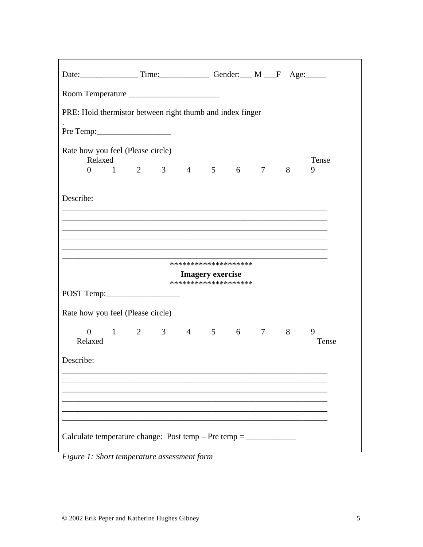|                                                           | Date: Time: Time: Gender: M F Age: |                                        |  |  |  |  |  |   |            |  |
|-----------------------------------------------------------|------------------------------------|----------------------------------------|--|--|--|--|--|---|------------|--|
| Room Temperature                                          |                                    |                                        |  |  |  |  |  |   |            |  |
| PRE: Hold thermistor between right thumb and index finger |                                    |                                        |  |  |  |  |  |   |            |  |
|                                                           |                                    |                                        |  |  |  |  |  |   |            |  |
| Rate how you feel (Please circle)<br>Relaxed              |                                    |                                        |  |  |  |  |  |   | Tense      |  |
|                                                           |                                    | $0 \t 1 \t 2 \t 3 \t 4 \t 5 \t 6 \t 7$ |  |  |  |  |  | 8 | 9          |  |
| Describe:                                                 |                                    |                                        |  |  |  |  |  |   |            |  |
|                                                           |                                    |                                        |  |  |  |  |  |   |            |  |
|                                                           |                                    |                                        |  |  |  |  |  |   |            |  |
| ********************                                      |                                    |                                        |  |  |  |  |  |   |            |  |
| <b>Imagery exercise</b><br>********************           |                                    |                                        |  |  |  |  |  |   |            |  |
|                                                           |                                    |                                        |  |  |  |  |  |   |            |  |
| Rate how you feel (Please circle)                         |                                    |                                        |  |  |  |  |  |   |            |  |
| $\overline{0}$<br>Relaxed                                 |                                    | $1 \t2 \t3 \t4 \t5 \t6 \t7 \t8$        |  |  |  |  |  |   | 9<br>Tense |  |
| Describe:                                                 |                                    |                                        |  |  |  |  |  |   |            |  |
|                                                           |                                    |                                        |  |  |  |  |  |   |            |  |
|                                                           |                                    |                                        |  |  |  |  |  |   |            |  |
|                                                           |                                    |                                        |  |  |  |  |  |   |            |  |
|                                                           |                                    |                                        |  |  |  |  |  |   |            |  |

Figure 1: Short temperature assessment form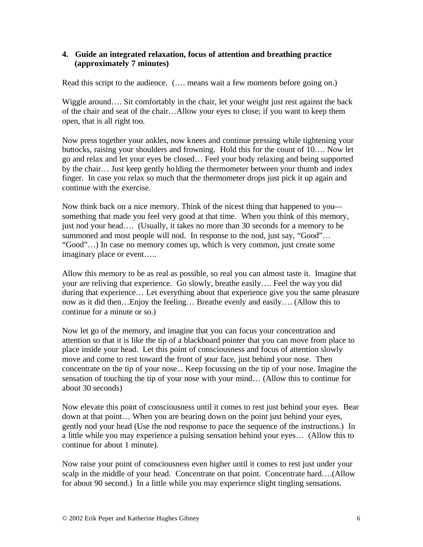#### **4. Guide an integrated relaxation, focus of attention and breathing practice (approximately 7 minutes)**

Read this script to the audience. (…. means wait a few moments before going on.)

Wiggle around.... Sit comfortably in the chair, let your weight just rest against the back of the chair and seat of the chair…Allow your eyes to close; if you want to keep them open, that is all right too.

Now press together your ankles, now knees and continue pressing while tightening your buttocks, raising your shoulders and frowning. Hold this for the count of 10…. Now let go and relax and let your eyes be closed… Feel your body relaxing and being supported by the chair… Just keep gently holding the thermometer between your thumb and index finger. In case you relax so much that the thermometer drops just pick it up again and continue with the exercise.

Now think back on a nice memory. Think of the nicest thing that happened to you something that made you feel very good at that time. When you think of this memory, just nod your head…. (Usually, it takes no more than 30 seconds for a memory to be summoned and most people will nod. In response to the nod, just say, "Good"... "Good"…) In case no memory comes up, which is very common, just create some imaginary place or event…..

Allow this memory to be as real as possible, so real you can almost taste it. Imagine that your are reliving that experience. Go slowly, breathe easily…. Feel the way you did during that experience… Let everything about that experience give you the same pleasure now as it did then…Enjoy the feeling… Breathe evenly and easily…. (Allow this to continue for a minute or so.)

Now let go of the memory, and imagine that you can focus your concentration and attention so that it is like the tip of a blackboard pointer that you can move from place to place inside your head. Let this point of consciousness and focus of attention slowly move and come to rest toward the front of your face, just behind your nose. Then concentrate on the tip of your nose... Keep focussing on the tip of your nose. Imagine the sensation of touching the tip of your nose with your mind… (Allow this to continue for about 30 seconds)

Now elevate this point of consciousness until it comes to rest just behind your eyes. Bear down at that point… When you are bearing down on the point just behind your eyes, gently nod your head (Use the nod response to pace the sequence of the instructions.) In a little while you may experience a pulsing sensation behind your eyes… (Allow this to continue for about 1 minute).

Now raise your point of consciousness even higher until it comes to rest just under your scalp in the middle of your head. Concentrate on that point. Concentrate hard….(Allow for about 90 second.) In a little while you may experience slight tingling sensations.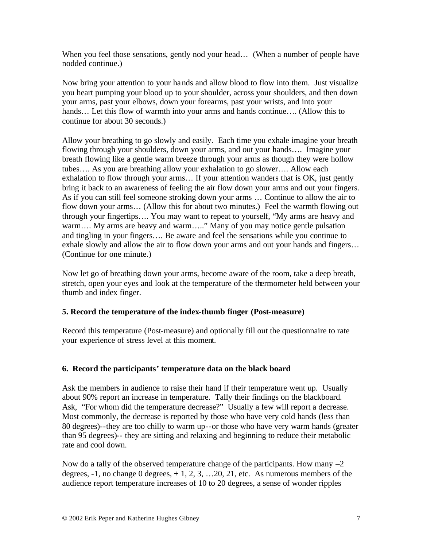When you feel those sensations, gently nod your head... (When a number of people have nodded continue.)

Now bring your attention to your hands and allow blood to flow into them. Just visualize you heart pumping your blood up to your shoulder, across your shoulders, and then down your arms, past your elbows, down your forearms, past your wrists, and into your hands... Let this flow of warmth into your arms and hands continue.... (Allow this to continue for about 30 seconds.)

Allow your breathing to go slowly and easily. Each time you exhale imagine your breath flowing through your shoulders, down your arms, and out your hands…. Imagine your breath flowing like a gentle warm breeze through your arms as though they were hollow tubes…. As you are breathing allow your exhalation to go slower…. Allow each exhalation to flow through your arms… If your attention wanders that is OK, just gently bring it back to an awareness of feeling the air flow down your arms and out your fingers. As if you can still feel someone stroking down your arms … Continue to allow the air to flow down your arms… (Allow this for about two minutes.) Feel the warmth flowing out through your fingertips…. You may want to repeat to yourself, "My arms are heavy and warm…. My arms are heavy and warm….." Many of you may notice gentle pulsation and tingling in your fingers…. Be aware and feel the sensations while you continue to exhale slowly and allow the air to flow down your arms and out your hands and fingers… (Continue for one minute.)

Now let go of breathing down your arms, become aware of the room, take a deep breath, stretch, open your eyes and look at the temperature of the thermometer held between your thumb and index finger.

## **5. Record the temperature of the index-thumb finger (Post-measure)**

Record this temperature (Post-measure) and optionally fill out the questionnaire to rate your experience of stress level at this moment.

## **6. Record the participants' temperature data on the black board**

Ask the members in audience to raise their hand if their temperature went up. Usually about 90% report an increase in temperature. Tally their findings on the blackboard. Ask, "For whom did the temperature decrease?" Usually a few will report a decrease. Most commonly, the decrease is reported by those who have very cold hands (less than 80 degrees)--they are too chilly to warm up--or those who have very warm hands (greater than 95 degrees)-- they are sitting and relaxing and beginning to reduce their metabolic rate and cool down.

Now do a tally of the observed temperature change of the participants. How many  $-2$ degrees,  $-1$ , no change 0 degrees,  $+1$ , 2, 3, ... 20, 21, etc. As numerous members of the audience report temperature increases of 10 to 20 degrees, a sense of wonder ripples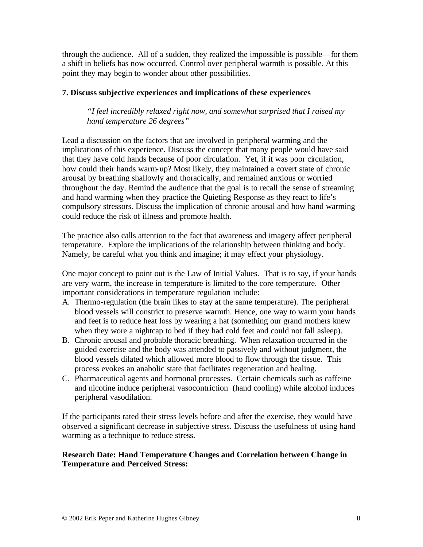through the audience. All of a sudden, they realized the impossible is possible—for them a shift in beliefs has now occurred. Control over peripheral warmth is possible. At this point they may begin to wonder about other possibilities.

#### **7. Discuss subjective experiences and implications of these experiences**

*"I feel incredibly relaxed right now, and somewhat surprised that I raised my hand temperature 26 degrees"*

Lead a discussion on the factors that are involved in peripheral warming and the implications of this experience. Discuss the concept that many people would have said that they have cold hands because of poor circulation. Yet, if it was poor circulation, how could their hands warm-up? Most likely, they maintained a covert state of chronic arousal by breathing shallowly and thoracically, and remained anxious or worried throughout the day. Remind the audience that the goal is to recall the sense of streaming and hand warming when they practice the Quieting Response as they react to life's compulsory stressors. Discuss the implication of chronic arousal and how hand warming could reduce the risk of illness and promote health.

The practice also calls attention to the fact that awareness and imagery affect peripheral temperature. Explore the implications of the relationship between thinking and body. Namely, be careful what you think and imagine; it may effect your physiology.

One major concept to point out is the Law of Initial Values. That is to say, if your hands are very warm, the increase in temperature is limited to the core temperature. Other important considerations in temperature regulation include:

- A. Thermo-regulation (the brain likes to stay at the same temperature). The peripheral blood vessels will constrict to preserve warmth. Hence, one way to warm your hands and feet is to reduce heat loss by wearing a hat (something our grand mothers knew when they wore a nightcap to bed if they had cold feet and could not fall asleep).
- B. Chronic arousal and probable thoracic breathing. When relaxation occurred in the guided exercise and the body was attended to passively and without judgment, the blood vessels dilated which allowed more blood to flow through the tissue. This process evokes an anabolic state that facilitates regeneration and healing.
- C. Pharmaceutical agents and hormonal processes. Certain chemicals such as caffeine and nicotine induce peripheral vasocontriction (hand cooling) while alcohol induces peripheral vasodilation.

If the participants rated their stress levels before and after the exercise, they would have observed a significant decrease in subjective stress. Discuss the usefulness of using hand warming as a technique to reduce stress.

## **Research Date: Hand Temperature Changes and Correlation between Change in Temperature and Perceived Stress:**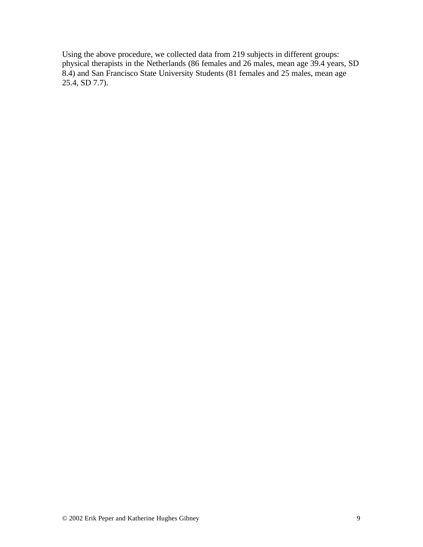Using the above procedure, we collected data from 219 subjects in different groups: physical therapists in the Netherlands (86 females and 26 males, mean age 39.4 years, SD 8.4) and San Francisco State University Students (81 females and 25 males, mean age 25.4, SD 7.7).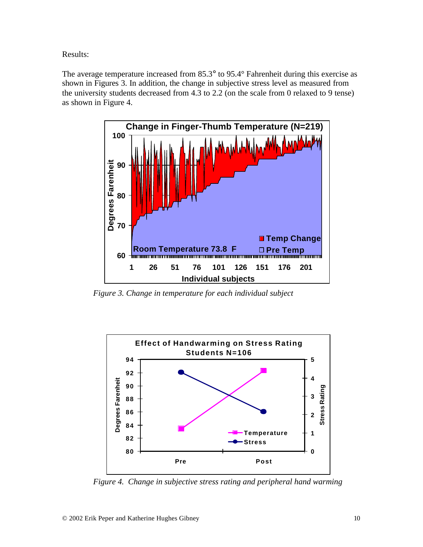Results:

The average temperature increased from 85.3° to 95.4° Fahrenheit during this exercise as shown in Figures 3. In addition, the change in subjective stress level as measured from the university students decreased from 4.3 to 2.2 (on the scale from 0 relaxed to 9 tense) as shown in Figure 4.



 *Figure 3. Change in temperature for each individual subject*



 *Figure 4. Change in subjective stress rating and peripheral hand warming*